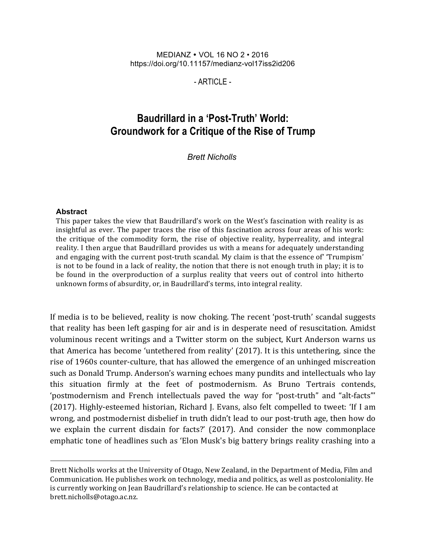#### MEDIANZ VOL 16 NO 2 • 2016 https://doi.org/10.11157/medianz-vol17iss2id206

- ARTICLE -

# **Baudrillard in a 'Post-Truth' World: Groundwork for a Critique of the Rise of Trump**

*Brett Nicholls*

#### **Abstract**

This paper takes the view that Baudrillard's work on the West's fascination with reality is as insightful as ever. The paper traces the rise of this fascination across four areas of his work: the critique of the commodity form, the rise of objective reality, hyperreality, and integral reality. I then argue that Baudrillard provides us with a means for adequately understanding and engaging with the current post-truth scandal. My claim is that the essence of 'Trumpism' is not to be found in a lack of reality, the notion that there is not enough truth in play; it is to be found in the overproduction of a surplus reality that veers out of control into hitherto unknown forms of absurdity, or, in Baudrillard's terms, into integral reality.

If media is to be believed, reality is now choking. The recent 'post-truth' scandal suggests that reality has been left gasping for air and is in desperate need of resuscitation. Amidst voluminous recent writings and a Twitter storm on the subject, Kurt Anderson warns us that America has become 'untethered from reality' (2017). It is this untethering, since the rise of 1960s counter-culture, that has allowed the emergence of an unhinged miscreation such as Donald Trump. Anderson's warning echoes many pundits and intellectuals who lay this situation firmly at the feet of postmodernism. As Bruno Tertrais contends, 'postmodernism and French intellectuals paved the way for "post-truth" and "alt-facts"' (2017). Highly-esteemed historian, Richard J. Evans, also felt compelled to tweet: 'If I am wrong, and postmodernist disbelief in truth didn't lead to our post-truth age, then how do we explain the current disdain for facts?' (2017). And consider the now commonplace emphatic tone of headlines such as 'Elon Musk's big battery brings reality crashing into a

Brett Nicholls works at the University of Otago, New Zealand, in the Department of Media, Film and Communication. He publishes work on technology, media and politics, as well as postcoloniality. He is currently working on Jean Baudrillard's relationship to science. He can be contacted at brett.nicholls@otago.ac.nz.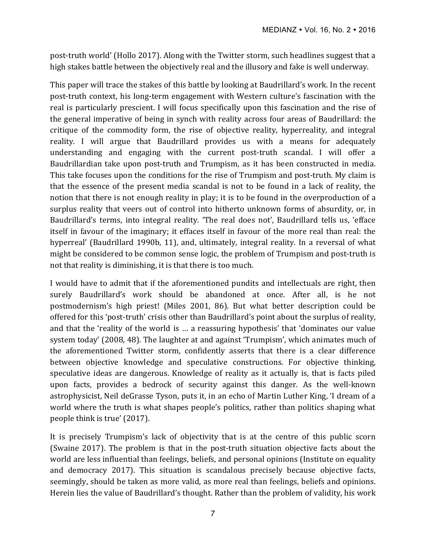post-truth world' (Hollo 2017). Along with the Twitter storm, such headlines suggest that a high stakes battle between the objectively real and the illusory and fake is well underway.

This paper will trace the stakes of this battle by looking at Baudrillard's work. In the recent post-truth context, his long-term engagement with Western culture's fascination with the real is particularly prescient. I will focus specifically upon this fascination and the rise of the general imperative of being in synch with reality across four areas of Baudrillard: the critique of the commodity form, the rise of objective reality, hyperreality, and integral reality. I will argue that Baudrillard provides us with a means for adequately understanding and engaging with the current post-truth scandal. I will offer a Baudrillardian take upon post-truth and Trumpism, as it has been constructed in media. This take focuses upon the conditions for the rise of Trumpism and post-truth. My claim is that the essence of the present media scandal is not to be found in a lack of reality, the notion that there is not enough reality in play; it is to be found in the overproduction of a surplus reality that veers out of control into hitherto unknown forms of absurdity, or, in Baudrillard's terms, into integral reality. 'The real does not', Baudrillard tells us, 'efface itself in favour of the imaginary; it effaces itself in favour of the more real than real: the hyperreal' (Baudrillard 1990b, 11), and, ultimately, integral reality. In a reversal of what might be considered to be common sense logic, the problem of Trumpism and post-truth is not that reality is diminishing, it is that there is too much.

I would have to admit that if the aforementioned pundits and intellectuals are right, then surely Baudrillard's work should be abandoned at once. After all, is he not postmodernism's high priest! (Miles 2001, 86). But what better description could be offered for this 'post-truth' crisis other than Baudrillard's point about the surplus of reality, and that the 'reality of the world is ... a reassuring hypothesis' that 'dominates our value system today' (2008, 48). The laughter at and against 'Trumpism', which animates much of the aforementioned Twitter storm, confidently asserts that there is a clear difference between objective knowledge and speculative constructions. For objective thinking, speculative ideas are dangerous. Knowledge of reality as it actually is, that is facts piled upon facts, provides a bedrock of security against this danger. As the well-known astrophysicist, Neil deGrasse Tyson, puts it, in an echo of Martin Luther King, 'I dream of a world where the truth is what shapes people's politics, rather than politics shaping what people think is true' (2017).

It is precisely Trumpism's lack of objectivity that is at the centre of this public scorn (Swaine 2017). The problem is that in the post-truth situation objective facts about the world are less influential than feelings, beliefs, and personal opinions (Institute on equality and democracy 2017). This situation is scandalous precisely because objective facts, seemingly, should be taken as more valid, as more real than feelings, beliefs and opinions. Herein lies the value of Baudrillard's thought. Rather than the problem of validity, his work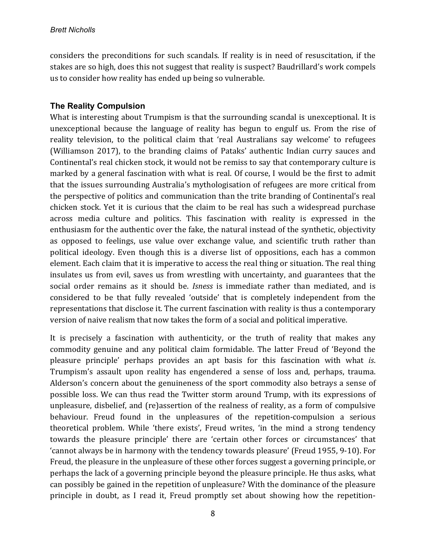considers the preconditions for such scandals. If reality is in need of resuscitation, if the stakes are so high, does this not suggest that reality is suspect? Baudrillard's work compels us to consider how reality has ended up being so vulnerable.

### **The Reality Compulsion**

What is interesting about Trumpism is that the surrounding scandal is unexceptional. It is unexceptional because the language of reality has begun to engulf us. From the rise of reality television, to the political claim that 'real Australians say welcome' to refugees (Williamson 2017), to the branding claims of Pataks' authentic Indian curry sauces and Continental's real chicken stock, it would not be remiss to say that contemporary culture is marked by a general fascination with what is real. Of course, I would be the first to admit that the issues surrounding Australia's mythologisation of refugees are more critical from the perspective of politics and communication than the trite branding of Continental's real chicken stock. Yet it is curious that the claim to be real has such a widespread purchase across media culture and politics. This fascination with reality is expressed in the enthusiasm for the authentic over the fake, the natural instead of the synthetic, objectivity as opposed to feelings, use value over exchange value, and scientific truth rather than political ideology. Even though this is a diverse list of oppositions, each has a common element. Each claim that it is imperative to access the real thing or situation. The real thing insulates us from evil, saves us from wrestling with uncertainty, and guarantees that the social order remains as it should be. *Isness* is immediate rather than mediated, and is considered to be that fully revealed 'outside' that is completely independent from the representations that disclose it. The current fascination with reality is thus a contemporary version of naive realism that now takes the form of a social and political imperative.

It is precisely a fascination with authenticity, or the truth of reality that makes any commodity genuine and any political claim formidable. The latter Freud of 'Beyond the pleasure principle' perhaps provides an apt basis for this fascination with what *is*. Trumpism's assault upon reality has engendered a sense of loss and, perhaps, trauma. Alderson's concern about the genuineness of the sport commodity also betrays a sense of possible loss. We can thus read the Twitter storm around Trump, with its expressions of unpleasure, disbelief, and (re)assertion of the realness of reality, as a form of compulsive behaviour. Freud found in the unpleasures of the repetition-compulsion a serious theoretical problem. While 'there exists', Freud writes, 'in the mind a strong tendency towards the pleasure principle' there are 'certain other forces or circumstances' that 'cannot always be in harmony with the tendency towards pleasure' (Freud 1955, 9-10). For Freud, the pleasure in the unpleasure of these other forces suggest a governing principle, or perhaps the lack of a governing principle beyond the pleasure principle. He thus asks, what can possibly be gained in the repetition of unpleasure? With the dominance of the pleasure principle in doubt, as I read it, Freud promptly set about showing how the repetition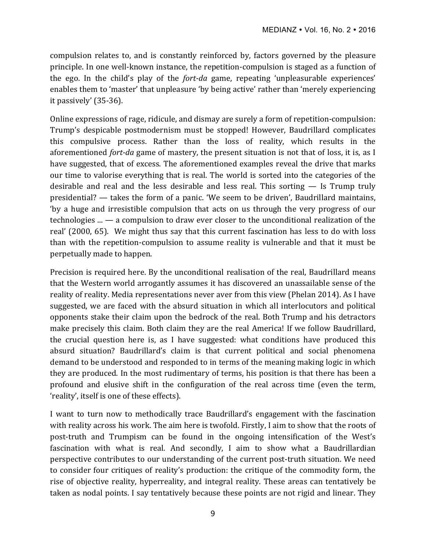compulsion relates to, and is constantly reinforced by, factors governed by the pleasure principle. In one well-known instance, the repetition-compulsion is staged as a function of the ego. In the child's play of the *fort-da* game, repeating 'unpleasurable experiences' enables them to 'master' that unpleasure 'by being active' rather than 'merely experiencing it passively'  $(35-36)$ .

Online expressions of rage, ridicule, and dismay are surely a form of repetition-compulsion: Trump's despicable postmodernism must be stopped! However, Baudrillard complicates this compulsive process. Rather than the loss of reality, which results in the aforementioned *fort-da* game of mastery, the present situation is not that of loss, it is, as I have suggested, that of excess. The aforementioned examples reveal the drive that marks our time to valorise everything that is real. The world is sorted into the categories of the desirable and real and the less desirable and less real. This sorting  $-$  Is Trump truly presidential? — takes the form of a panic. 'We seem to be driven', Baudrillard maintains, 'by a huge and irresistible compulsion that acts on us through the very progress of our technologies  $\ldots$   $-$  a compulsion to draw ever closer to the unconditional realization of the real' (2000, 65). We might thus say that this current fascination has less to do with loss than with the repetition-compulsion to assume reality is vulnerable and that it must be perpetually made to happen.

Precision is required here. By the unconditional realisation of the real, Baudrillard means that the Western world arrogantly assumes it has discovered an unassailable sense of the reality of reality. Media representations never aver from this view (Phelan 2014). As I have suggested, we are faced with the absurd situation in which all interlocutors and political opponents stake their claim upon the bedrock of the real. Both Trump and his detractors make precisely this claim. Both claim they are the real America! If we follow Baudrillard, the crucial question here is, as I have suggested: what conditions have produced this absurd situation? Baudrillard's claim is that current political and social phenomena demand to be understood and responded to in terms of the meaning making logic in which they are produced. In the most rudimentary of terms, his position is that there has been a profound and elusive shift in the configuration of the real across time (even the term, 'reality', itself is one of these effects).

I want to turn now to methodically trace Baudrillard's engagement with the fascination with reality across his work. The aim here is twofold. Firstly, I aim to show that the roots of post-truth and Trumpism can be found in the ongoing intensification of the West's fascination with what is real. And secondly, I aim to show what a Baudrillardian perspective contributes to our understanding of the current post-truth situation. We need to consider four critiques of reality's production: the critique of the commodity form, the rise of objective reality, hyperreality, and integral reality. These areas can tentatively be taken as nodal points. I say tentatively because these points are not rigid and linear. They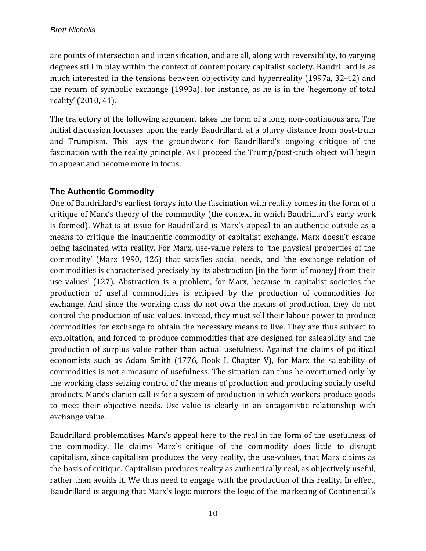are points of intersection and intensification, and are all, along with reversibility, to varying degrees still in play within the context of contemporary capitalist society. Baudrillard is as much interested in the tensions between objectivity and hyperreality (1997a, 32-42) and the return of symbolic exchange (1993a), for instance, as he is in the 'hegemony of total reality' (2010, 41).

The trajectory of the following argument takes the form of a long, non-continuous arc. The initial discussion focusses upon the early Baudrillard, at a blurry distance from post-truth and Trumpism. This lays the groundwork for Baudrillard's ongoing critique of the fascination with the reality principle. As I proceed the Trump/post-truth object will begin to appear and become more in focus.

# **The Authentic Commodity**

One of Baudrillard's earliest forays into the fascination with reality comes in the form of a critique of Marx's theory of the commodity (the context in which Baudrillard's early work is formed). What is at issue for Baudrillard is Marx's appeal to an authentic outside as a means to critique the inauthentic commodity of capitalist exchange. Marx doesn't escape being fascinated with reality. For Marx, use-value refers to 'the physical properties of the commodity' (Marx 1990, 126) that satisfies social needs, and 'the exchange relation of commodities is characterised precisely by its abstraction [in the form of money] from their use-values' (127). Abstraction is a problem, for Marx, because in capitalist societies the production of useful commodities is eclipsed by the production of commodities for exchange. And since the working class do not own the means of production, they do not control the production of use-values. Instead, they must sell their labour power to produce commodities for exchange to obtain the necessary means to live. They are thus subject to exploitation, and forced to produce commodities that are designed for saleability and the production of surplus value rather than actual usefulness. Against the claims of political economists such as Adam Smith  $(1776, Book I, Chapter V)$ , for Marx the saleability of commodities is not a measure of usefulness. The situation can thus be overturned only by the working class seizing control of the means of production and producing socially useful products. Marx's clarion call is for a system of production in which workers produce goods to meet their objective needs. Use-value is clearly in an antagonistic relationship with exchange value.

Baudrillard problematises Marx's appeal here to the real in the form of the usefulness of the commodity. He claims Marx's critique of the commodity does little to disrupt capitalism, since capitalism produces the very reality, the use-values, that Marx claims as the basis of critique. Capitalism produces reality as authentically real, as objectively useful, rather than avoids it. We thus need to engage with the production of this reality. In effect, Baudrillard is arguing that Marx's logic mirrors the logic of the marketing of Continental's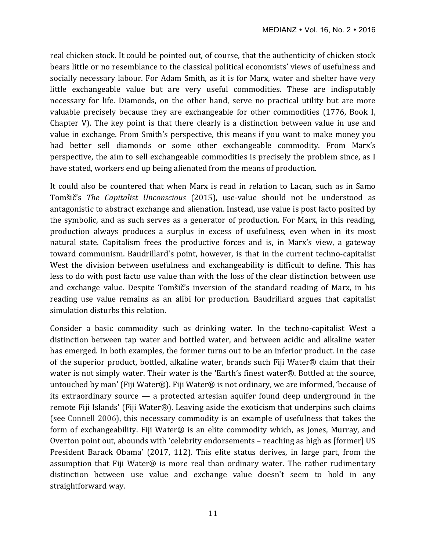real chicken stock. It could be pointed out, of course, that the authenticity of chicken stock bears little or no resemblance to the classical political economists' views of usefulness and socially necessary labour. For Adam Smith, as it is for Marx, water and shelter have very little exchangeable value but are very useful commodities. These are indisputably necessary for life. Diamonds, on the other hand, serve no practical utility but are more valuable precisely because they are exchangeable for other commodities (1776, Book I, Chapter V). The key point is that there clearly is a distinction between value in use and value in exchange. From Smith's perspective, this means if you want to make money you had better sell diamonds or some other exchangeable commodity. From Marx's perspective, the aim to sell exchangeable commodities is precisely the problem since, as I have stated, workers end up being alienated from the means of production.

It could also be countered that when Marx is read in relation to Lacan, such as in Samo Tomšič's The Capitalist Unconscious (2015), use-value should not be understood as antagonistic to abstract exchange and alienation. Instead, use value is post facto posited by the symbolic, and as such serves as a generator of production. For Marx, in this reading, production always produces a surplus in excess of usefulness, even when in its most natural state. Capitalism frees the productive forces and is, in Marx's view, a gateway toward communism. Baudrillard's point, however, is that in the current techno-capitalist West the division between usefulness and exchangeability is difficult to define. This has less to do with post facto use value than with the loss of the clear distinction between use and exchange value. Despite Tomšič's inversion of the standard reading of Marx, in his reading use value remains as an alibi for production. Baudrillard argues that capitalist simulation disturbs this relation.

Consider a basic commodity such as drinking water. In the techno-capitalist West a distinction between tap water and bottled water, and between acidic and alkaline water has emerged. In both examples, the former turns out to be an inferior product. In the case of the superior product, bottled, alkaline water, brands such Fiji Water® claim that their water is not simply water. Their water is the 'Earth's finest water®. Bottled at the source, untouched by man' (Fiji Water®). Fiji Water® is not ordinary, we are informed, 'because of its extraordinary source  $-$  a protected artesian aquifer found deep underground in the remote Fiji Islands' (Fiji Water®). Leaving aside the exoticism that underpins such claims (see Connell 2006), this necessary commodity is an example of usefulness that takes the form of exchangeability. Fiji Water® is an elite commodity which, as Jones, Murray, and Overton point out, abounds with 'celebrity endorsements – reaching as high as [former] US President Barack Obama' (2017, 112). This elite status derives, in large part, from the assumption that Fiji Water® is more real than ordinary water. The rather rudimentary distinction between use value and exchange value doesn't seem to hold in any straightforward way.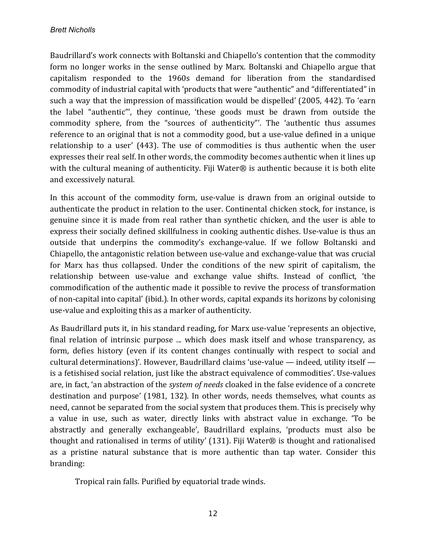Baudrillard's work connects with Boltanski and Chiapello's contention that the commodity form no longer works in the sense outlined by Marx. Boltanski and Chiapello argue that capitalism responded to the 1960s demand for liberation from the standardised commodity of industrial capital with 'products that were "authentic" and "differentiated" in such a way that the impression of massification would be dispelled' (2005, 442). To 'earn the label "authentic"', they continue, 'these goods must be drawn from outside the commodity sphere, from the "sources of authenticity"'. The 'authentic thus assumes reference to an original that is not a commodity good, but a use-value defined in a unique relationship to a user'  $(443)$ . The use of commodities is thus authentic when the user expresses their real self. In other words, the commodity becomes authentic when it lines up with the cultural meaning of authenticity. Fiji Water<sup>®</sup> is authentic because it is both elite and excessively natural.

In this account of the commodity form, use-value is drawn from an original outside to authenticate the product in relation to the user. Continental chicken stock, for instance, is genuine since it is made from real rather than synthetic chicken, and the user is able to express their socially defined skillfulness in cooking authentic dishes. Use-value is thus an outside that underpins the commodity's exchange-value. If we follow Boltanski and Chiapello, the antagonistic relation between use-value and exchange-value that was crucial for Marx has thus collapsed. Under the conditions of the new spirit of capitalism, the relationship between use-value and exchange value shifts. Instead of conflict, 'the commodification of the authentic made it possible to revive the process of transformation of non-capital into capital' (ibid.). In other words, capital expands its horizons by colonising use-value and exploiting this as a marker of authenticity.

As Baudrillard puts it, in his standard reading, for Marx use-value 'represents an objective, final relation of intrinsic purpose ... which does mask itself and whose transparency, as form, defies history (even if its content changes continually with respect to social and cultural determinations)'. However, Baudrillard claims 'use-value  $-$  indeed, utility itself  $$ is a fetishised social relation, just like the abstract equivalence of commodities'. Use-values are, in fact, 'an abstraction of the *system of needs* cloaked in the false evidence of a concrete destination and purpose' (1981, 132). In other words, needs themselves, what counts as need, cannot be separated from the social system that produces them. This is precisely why a value in use, such as water, directly links with abstract value in exchange. To be abstractly and generally exchangeable', Baudrillard explains, 'products must also be thought and rationalised in terms of utility' (131). Fiji Water® is thought and rationalised as a pristine natural substance that is more authentic than tap water. Consider this branding:

Tropical rain falls. Purified by equatorial trade winds.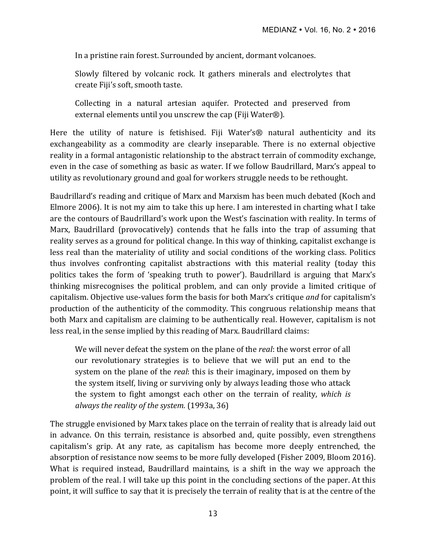In a pristine rain forest. Surrounded by ancient, dormant volcanoes.

Slowly filtered by volcanic rock. It gathers minerals and electrolytes that create Fiji's soft, smooth taste.

Collecting in a natural artesian aquifer. Protected and preserved from external elements until you unscrew the cap (Fiji Water®).

Here the utility of nature is fetishised. Fiji Water's<sup>®</sup> natural authenticity and its exchangeability as a commodity are clearly inseparable. There is no external objective reality in a formal antagonistic relationship to the abstract terrain of commodity exchange, even in the case of something as basic as water. If we follow Baudrillard, Marx's appeal to utility as revolutionary ground and goal for workers struggle needs to be rethought.

Baudrillard's reading and critique of Marx and Marxism has been much debated (Koch and Elmore 2006). It is not my aim to take this up here. I am interested in charting what I take are the contours of Baudrillard's work upon the West's fascination with reality. In terms of Marx, Baudrillard (provocatively) contends that he falls into the trap of assuming that reality serves as a ground for political change. In this way of thinking, capitalist exchange is less real than the materiality of utility and social conditions of the working class. Politics thus involves confronting capitalist abstractions with this material reality (today this politics takes the form of 'speaking truth to power'). Baudrillard is arguing that Marx's thinking misrecognises the political problem, and can only provide a limited critique of capitalism. Objective use-values form the basis for both Marx's critique *and* for capitalism's production of the authenticity of the commodity. This congruous relationship means that both Marx and capitalism are claiming to be authentically real. However, capitalism is not less real, in the sense implied by this reading of Marx. Baudrillard claims:

We will never defeat the system on the plane of the *real*: the worst error of all our revolutionary strategies is to believe that we will put an end to the system on the plane of the *real*: this is their imaginary, imposed on them by the system itself, living or surviving only by always leading those who attack the system to fight amongst each other on the terrain of reality, *which* is always the reality of the system. (1993a, 36)

The struggle envisioned by Marx takes place on the terrain of reality that is already laid out in advance. On this terrain, resistance is absorbed and, quite possibly, even strengthens capitalism's grip. At any rate, as capitalism has become more deeply entrenched, the absorption of resistance now seems to be more fully developed (Fisher 2009, Bloom 2016). What is required instead, Baudrillard maintains, is a shift in the way we approach the problem of the real. I will take up this point in the concluding sections of the paper. At this point, it will suffice to say that it is precisely the terrain of reality that is at the centre of the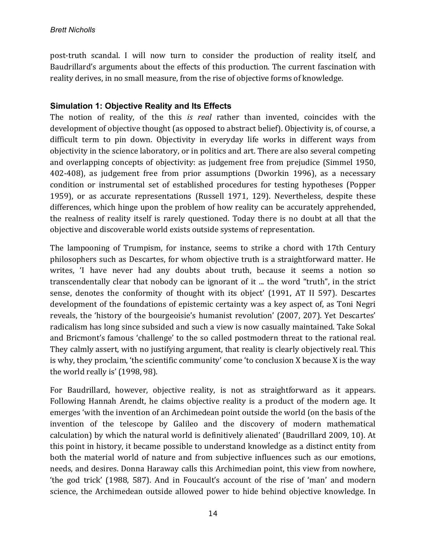post-truth scandal. I will now turn to consider the production of reality itself, and Baudrillard's arguments about the effects of this production. The current fascination with reality derives, in no small measure, from the rise of objective forms of knowledge.

### **Simulation 1: Objective Reality and Its Effects**

The notion of reality, of the this *is real* rather than invented, coincides with the development of objective thought (as opposed to abstract belief). Objectivity is, of course, a difficult term to pin down. Objectivity in everyday life works in different ways from objectivity in the science laboratory, or in politics and art. There are also several competing and overlapping concepts of objectivity: as judgement free from prejudice (Simmel 1950, 402-408), as judgement free from prior assumptions (Dworkin 1996), as a necessary condition or instrumental set of established procedures for testing hypotheses (Popper 1959), or as accurate representations (Russell 1971, 129). Nevertheless, despite these differences, which hinge upon the problem of how reality can be accurately apprehended, the realness of reality itself is rarely questioned. Today there is no doubt at all that the objective and discoverable world exists outside systems of representation.

The lampooning of Trumpism, for instance, seems to strike a chord with 17th Century philosophers such as Descartes, for whom objective truth is a straightforward matter. He writes, 'I have never had any doubts about truth, because it seems a notion so transcendentally clear that nobody can be ignorant of it ... the word "truth", in the strict sense, denotes the conformity of thought with its object' (1991, AT II 597). Descartes development of the foundations of epistemic certainty was a key aspect of, as Toni Negri reveals, the 'history of the bourgeoisie's humanist revolution' (2007, 207). Yet Descartes' radicalism has long since subsided and such a view is now casually maintained. Take Sokal and Bricmont's famous 'challenge' to the so called postmodern threat to the rational real. They calmly assert, with no justifying argument, that reality is clearly objectively real. This is why, they proclaim, 'the scientific community' come 'to conclusion X because X is the way the world really is' (1998, 98).

For Baudrillard, however, objective reality, is not as straightforward as it appears. Following Hannah Arendt, he claims objective reality is a product of the modern age. It emerges 'with the invention of an Archimedean point outside the world (on the basis of the invention of the telescope by Galileo and the discovery of modern mathematical calculation) by which the natural world is definitively alienated' (Baudrillard 2009, 10). At this point in history, it became possible to understand knowledge as a distinct entity from both the material world of nature and from subjective influences such as our emotions, needs, and desires. Donna Haraway calls this Archimedian point, this view from nowhere, 'the god trick' (1988, 587). And in Foucault's account of the rise of 'man' and modern science, the Archimedean outside allowed power to hide behind objective knowledge. In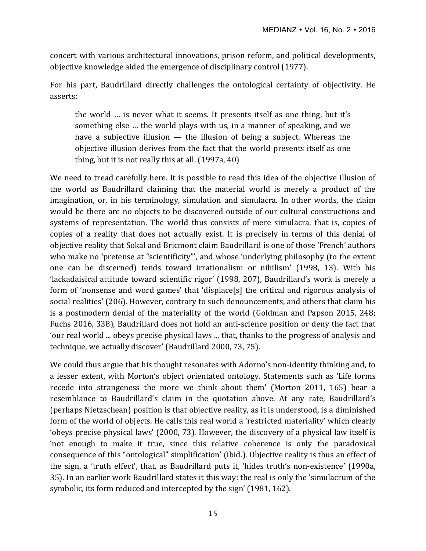concert with various architectural innovations, prison reform, and political developments, objective knowledge aided the emergence of disciplinary control (1977).

For his part, Baudrillard directly challenges the ontological certainty of objectivity. He asserts:

the world ... is never what it seems. It presents itself as one thing, but it's something else ... the world plays with us, in a manner of speaking, and we have a subjective illusion  $-$  the illusion of being a subject. Whereas the objective illusion derives from the fact that the world presents itself as one thing, but it is not really this at all.  $(1997a, 40)$ 

We need to tread carefully here. It is possible to read this idea of the objective illusion of the world as Baudrillard claiming that the material world is merely a product of the imagination, or, in his terminology, simulation and simulacra. In other words, the claim would be there are no objects to be discovered outside of our cultural constructions and systems of representation. The world thus consists of mere simulacra, that is, copies of copies of a reality that does not actually exist. It is precisely in terms of this denial of objective reality that Sokal and Bricmont claim Baudrillard is one of those 'French' authors who make no 'pretense at "scientificity"', and whose 'underlying philosophy (to the extent one can be discerned) tends toward irrationalism or nihilism' (1998, 13). With his 'lackadaisical attitude toward scientific rigor' (1998, 207), Baudrillard's work is merely a form of 'nonsense and word games' that 'displace[s] the critical and rigorous analysis of social realities' (206). However, contrary to such denouncements, and others that claim his is a postmodern denial of the materiality of the world (Goldman and Papson 2015, 248; Fuchs 2016, 338), Baudrillard does not hold an anti-science position or deny the fact that 'our real world ... obeys precise physical laws ... that, thanks to the progress of analysis and technique, we actually discover' (Baudrillard 2000, 73, 75).

We could thus argue that his thought resonates with Adorno's non-identity thinking and, to a lesser extent, with Morton's object orientated ontology. Statements such as 'Life forms recede into strangeness the more we think about them' (Morton 2011, 165) bear a resemblance to Baudrillard's claim in the quotation above. At any rate, Baudrillard's (perhaps Nietzschean) position is that objective reality, as it is understood, is a diminished form of the world of objects. He calls this real world a 'restricted materiality' which clearly 'obeys precise physical laws' (2000, 73). However, the discovery of a physical law itself is 'not enough to make it true, since this relative coherence is only the paradoxical consequence of this "ontological" simplification' (ibid.). Objective reality is thus an effect of the sign, a 'truth effect', that, as Baudrillard puts it, 'hides truth's non-existence' (1990a, 35). In an earlier work Baudrillard states it this way: the real is only the 'simulacrum of the symbolic, its form reduced and intercepted by the sign' (1981, 162).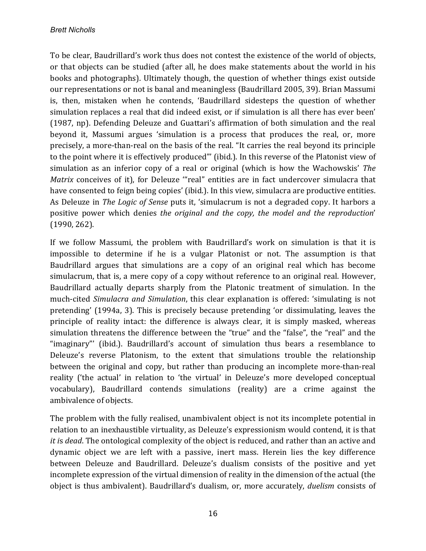To be clear, Baudrillard's work thus does not contest the existence of the world of objects, or that objects can be studied (after all, he does make statements about the world in his books and photographs). Ultimately though, the question of whether things exist outside our representations or not is banal and meaningless (Baudrillard 2005, 39). Brian Massumi is, then, mistaken when he contends, 'Baudrillard sidesteps the question of whether simulation replaces a real that did indeed exist, or if simulation is all there has ever been' (1987, np). Defending Deleuze and Guattari's affirmation of both simulation and the real beyond it, Massumi argues 'simulation is a process that produces the real, or, more precisely, a more-than-real on the basis of the real. "It carries the real beyond its principle to the point where it is effectively produced"' (ibid.). In this reverse of the Platonist view of simulation as an inferior copy of a real or original (which is how the Wachowskis' *The Matrix* conceives of it), for Deleuze "real" entities are in fact undercover simulacra that have consented to feign being copies' (ibid.). In this view, simulacra are productive entities. As Deleuze in *The Logic of Sense* puts it, 'simulacrum is not a degraded copy. It harbors a positive power which denies the original and the copy, the model and the reproduction'  $(1990, 262)$ .

If we follow Massumi, the problem with Baudrillard's work on simulation is that it is impossible to determine if he is a vulgar Platonist or not. The assumption is that Baudrillard argues that simulations are a copy of an original real which has become simulacrum, that is, a mere copy of a copy without reference to an original real. However, Baudrillard actually departs sharply from the Platonic treatment of simulation. In the much-cited *Simulacra and Simulation*, this clear explanation is offered: 'simulating is not pretending' (1994a, 3). This is precisely because pretending 'or dissimulating, leaves the principle of reality intact: the difference is always clear, it is simply masked, whereas simulation threatens the difference between the "true" and the "false", the "real" and the "imaginary"' (ibid.). Baudrillard's account of simulation thus bears a resemblance to Deleuze's reverse Platonism, to the extent that simulations trouble the relationship between the original and copy, but rather than producing an incomplete more-than-real reality ('the actual' in relation to 'the virtual' in Deleuze's more developed conceptual vocabulary), Baudrillard contends simulations (reality) are a crime against the ambivalence of objects.

The problem with the fully realised, unambivalent object is not its incomplete potential in relation to an inexhaustible virtuality, as Deleuze's expressionism would contend, it is that *it* is *dead*. The ontological complexity of the object is reduced, and rather than an active and dynamic object we are left with a passive, inert mass. Herein lies the key difference between Deleuze and Baudrillard. Deleuze's dualism consists of the positive and yet incomplete expression of the virtual dimension of reality in the dimension of the actual (the object is thus ambivalent). Baudrillard's dualism, or, more accurately, *duelism* consists of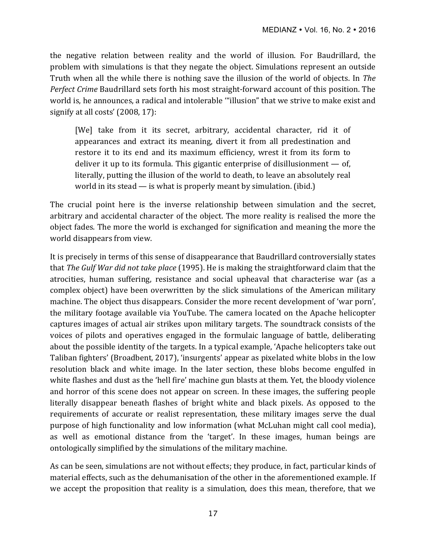the negative relation between reality and the world of illusion. For Baudrillard, the problem with simulations is that they negate the object. Simulations represent an outside Truth when all the while there is nothing save the illusion of the world of objects. In *The Perfect Crime* Baudrillard sets forth his most straight-forward account of this position. The world is, he announces, a radical and intolerable ""illusion" that we strive to make exist and signify at all costs'  $(2008, 17)$ :

[We] take from it its secret, arbitrary, accidental character, rid it of appearances and extract its meaning, divert it from all predestination and restore it to its end and its maximum efficiency, wrest it from its form to deliver it up to its formula. This gigantic enterprise of disillusionment  $-$  of, literally, putting the illusion of the world to death, to leave an absolutely real world in its stead  $-$  is what is properly meant by simulation. (ibid.)

The crucial point here is the inverse relationship between simulation and the secret, arbitrary and accidental character of the object. The more reality is realised the more the object fades. The more the world is exchanged for signification and meaning the more the world disappears from view.

It is precisely in terms of this sense of disappearance that Baudrillard controversially states that *The Gulf War did not take place* (1995). He is making the straightforward claim that the atrocities, human suffering, resistance and social upheaval that characterise war (as a complex object) have been overwritten by the slick simulations of the American military machine. The object thus disappears. Consider the more recent development of 'war porn', the military footage available via YouTube. The camera located on the Apache helicopter captures images of actual air strikes upon military targets. The soundtrack consists of the voices of pilots and operatives engaged in the formulaic language of battle, deliberating about the possible identity of the targets. In a typical example, 'Apache helicopters take out Taliban fighters' (Broadbent, 2017), 'insurgents' appear as pixelated white blobs in the low resolution black and white image. In the later section, these blobs become engulfed in white flashes and dust as the 'hell fire' machine gun blasts at them. Yet, the bloody violence and horror of this scene does not appear on screen. In these images, the suffering people literally disappear beneath flashes of bright white and black pixels. As opposed to the requirements of accurate or realist representation, these military images serve the dual purpose of high functionality and low information (what McLuhan might call cool media), as well as emotional distance from the 'target'. In these images, human beings are ontologically simplified by the simulations of the military machine.

As can be seen, simulations are not without effects; they produce, in fact, particular kinds of material effects, such as the dehumanisation of the other in the aforementioned example. If we accept the proposition that reality is a simulation, does this mean, therefore, that we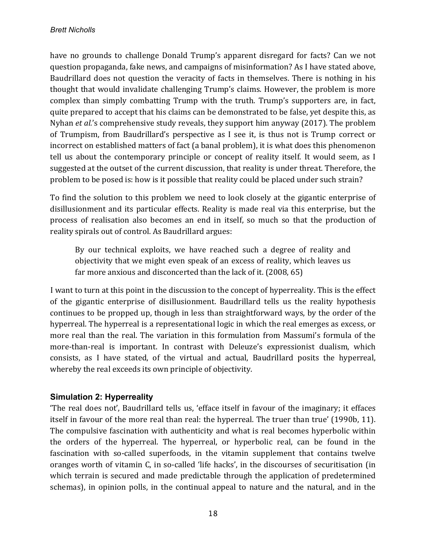have no grounds to challenge Donald Trump's apparent disregard for facts? Can we not question propaganda, fake news, and campaigns of misinformation? As I have stated above, Baudrillard does not question the veracity of facts in themselves. There is nothing in his thought that would invalidate challenging Trump's claims. However, the problem is more complex than simply combatting Trump with the truth. Trump's supporters are, in fact, quite prepared to accept that his claims can be demonstrated to be false, yet despite this, as Nyhan *et al.*'s comprehensive study reveals, they support him anyway (2017). The problem of Trumpism, from Baudrillard's perspective as I see it, is thus not is Trump correct or incorrect on established matters of fact (a banal problem), it is what does this phenomenon tell us about the contemporary principle or concept of reality itself. It would seem, as I suggested at the outset of the current discussion, that reality is under threat. Therefore, the problem to be posed is: how is it possible that reality could be placed under such strain?

To find the solution to this problem we need to look closely at the gigantic enterprise of disillusionment and its particular effects. Reality is made real via this enterprise, but the process of realisation also becomes an end in itself, so much so that the production of reality spirals out of control. As Baudrillard argues:

By our technical exploits, we have reached such a degree of reality and objectivity that we might even speak of an excess of reality, which leaves us far more anxious and disconcerted than the lack of it.  $(2008, 65)$ 

I want to turn at this point in the discussion to the concept of hyperreality. This is the effect of the gigantic enterprise of disillusionment. Baudrillard tells us the reality hypothesis continues to be propped up, though in less than straightforward ways, by the order of the hyperreal. The hyperreal is a representational logic in which the real emerges as excess, or more real than the real. The variation in this formulation from Massumi's formula of the more-than-real is important. In contrast with Deleuze's expressionist dualism, which consists, as I have stated, of the virtual and actual, Baudrillard posits the hyperreal, whereby the real exceeds its own principle of objectivity.

## **Simulation 2: Hyperreality**

'The real does not', Baudrillard tells us, 'efface itself in favour of the imaginary; it effaces itself in favour of the more real than real: the hyperreal. The truer than true' (1990b, 11). The compulsive fascination with authenticity and what is real becomes hyperbolic within the orders of the hyperreal. The hyperreal, or hyperbolic real, can be found in the fascination with so-called superfoods, in the vitamin supplement that contains twelve oranges worth of vitamin C, in so-called 'life hacks', in the discourses of securitisation (in which terrain is secured and made predictable through the application of predetermined schemas), in opinion polls, in the continual appeal to nature and the natural, and in the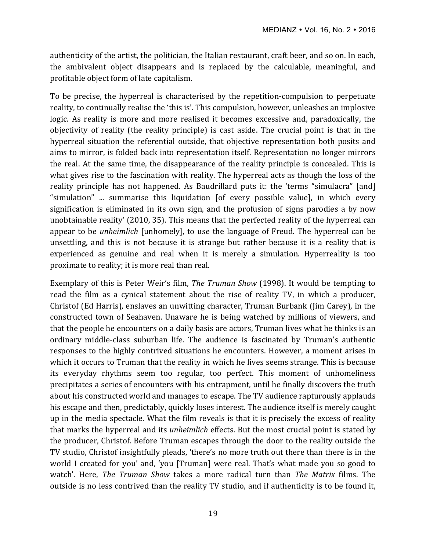authenticity of the artist, the politician, the Italian restaurant, craft beer, and so on. In each, the ambivalent object disappears and is replaced by the calculable, meaningful, and profitable object form of late capitalism.

To be precise, the hyperreal is characterised by the repetition-compulsion to perpetuate reality, to continually realise the 'this is'. This compulsion, however, unleashes an implosive logic. As reality is more and more realised it becomes excessive and, paradoxically, the objectivity of reality (the reality principle) is cast aside. The crucial point is that in the hyperreal situation the referential outside, that objective representation both posits and aims to mirror, is folded back into representation itself. Representation no longer mirrors the real. At the same time, the disappearance of the reality principle is concealed. This is what gives rise to the fascination with reality. The hyperreal acts as though the loss of the reality principle has not happened. As Baudrillard puts it: the 'terms "simulacra" [and] "simulation"  $\ldots$  summarise this liquidation [of every possible value], in which every signification is eliminated in its own sign, and the profusion of signs parodies a by now unobtainable reality' (2010, 35). This means that the perfected reality of the hyperreal can appear to be *unheimlich* [unhomely], to use the language of Freud. The hyperreal can be unsettling, and this is not because it is strange but rather because it is a reality that is experienced as genuine and real when it is merely a simulation. Hyperreality is too proximate to reality; it is more real than real.

Exemplary of this is Peter Weir's film, *The Truman Show* (1998). It would be tempting to read the film as a cynical statement about the rise of reality TV, in which a producer, Christof (Ed Harris), enslaves an unwitting character, Truman Burbank (Jim Carey), in the constructed town of Seahaven. Unaware he is being watched by millions of viewers, and that the people he encounters on a daily basis are actors, Truman lives what he thinks is an ordinary middle-class suburban life. The audience is fascinated by Truman's authentic responses to the highly contrived situations he encounters. However, a moment arises in which it occurs to Truman that the reality in which he lives seems strange. This is because its everyday rhythms seem too regular, too perfect. This moment of unhomeliness precipitates a series of encounters with his entrapment, until he finally discovers the truth about his constructed world and manages to escape. The TV audience rapturously applauds his escape and then, predictably, quickly loses interest. The audience itself is merely caught up in the media spectacle. What the film reveals is that it is precisely the excess of reality that marks the hyperreal and its *unheimlich* effects. But the most crucial point is stated by the producer, Christof. Before Truman escapes through the door to the reality outside the TV studio, Christof insightfully pleads, 'there's no more truth out there than there is in the world I created for you' and, 'you [Truman] were real. That's what made you so good to watch'. Here, *The Truman Show* takes a more radical turn than *The Matrix* films. The outside is no less contrived than the reality TV studio, and if authenticity is to be found it,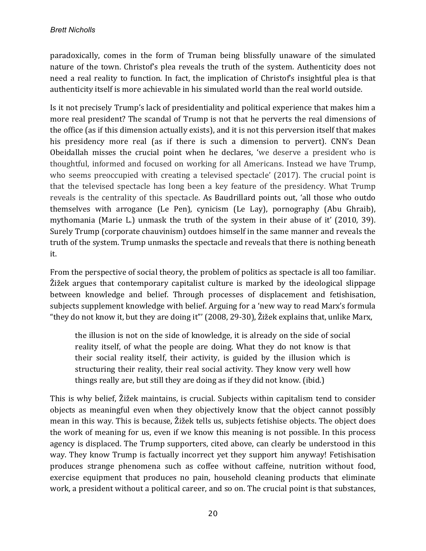paradoxically, comes in the form of Truman being blissfully unaware of the simulated nature of the town. Christof's plea reveals the truth of the system. Authenticity does not need a real reality to function. In fact, the implication of Christof's insightful plea is that authenticity itself is more achievable in his simulated world than the real world outside.

Is it not precisely Trump's lack of presidentiality and political experience that makes him a more real president? The scandal of Trump is not that he perverts the real dimensions of the office (as if this dimension actually exists), and it is not this perversion itself that makes his presidency more real (as if there is such a dimension to pervert). CNN's Dean Obeidallah misses the crucial point when he declares, 'we deserve a president who is thoughtful, informed and focused on working for all Americans. Instead we have Trump, who seems preoccupied with creating a televised spectacle'  $(2017)$ . The crucial point is that the televised spectacle has long been a key feature of the presidency. What Trump reveals is the centrality of this spectacle. As Baudrillard points out, 'all those who outdo themselves with arrogance (Le Pen), cynicism (Le Lay), pornography (Abu Ghraib), mythomania (Marie L.) unmask the truth of the system in their abuse of it' (2010, 39). Surely Trump (corporate chauvinism) outdoes himself in the same manner and reveals the truth of the system. Trump unmasks the spectacle and reveals that there is nothing beneath it.

From the perspective of social theory, the problem of politics as spectacle is all too familiar. Žižek argues that contemporary capitalist culture is marked by the ideological slippage between knowledge and belief. Through processes of displacement and fetishisation, subjects supplement knowledge with belief. Arguing for a 'new way to read Marx's formula "they do not know it, but they are doing it"' (2008, 29-30),  $\tilde{Z}$ ižek explains that, unlike Marx,

the illusion is not on the side of knowledge, it is already on the side of social reality itself, of what the people are doing. What they do not know is that their social reality itself, their activity, is guided by the illusion which is structuring their reality, their real social activity. They know very well how things really are, but still they are doing as if they did not know. (ibid.)

This is why belief, Žižek maintains, is crucial. Subjects within capitalism tend to consider objects as meaningful even when they objectively know that the object cannot possibly mean in this way. This is because, Žižek tells us, subjects fetishise objects. The object does the work of meaning for us, even if we know this meaning is not possible. In this process agency is displaced. The Trump supporters, cited above, can clearly be understood in this way. They know Trump is factually incorrect yet they support him anyway! Fetishisation produces strange phenomena such as coffee without caffeine, nutrition without food, exercise equipment that produces no pain, household cleaning products that eliminate work, a president without a political career, and so on. The crucial point is that substances,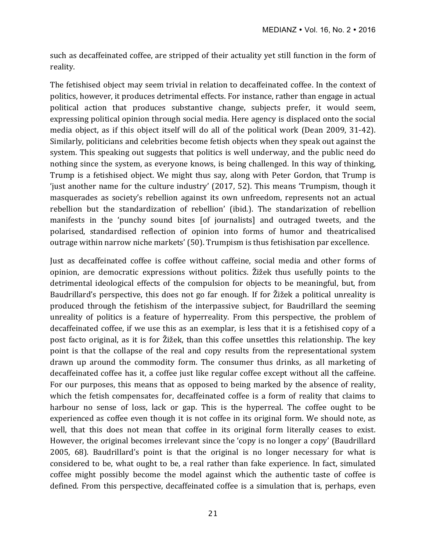such as decaffeinated coffee, are stripped of their actuality yet still function in the form of reality. 

The fetishised object may seem trivial in relation to decaffeinated coffee. In the context of politics, however, it produces detrimental effects. For instance, rather than engage in actual political action that produces substantive change, subjects prefer, it would seem, expressing political opinion through social media. Here agency is displaced onto the social media object, as if this object itself will do all of the political work (Dean 2009, 31-42). Similarly, politicians and celebrities become fetish objects when they speak out against the system. This speaking out suggests that politics is well underway, and the public need do nothing since the system, as everyone knows, is being challenged. In this way of thinking, Trump is a fetishised object. We might thus say, along with Peter Gordon, that Trump is 'just another name for the culture industry'  $(2017, 52)$ . This means 'Trumpism, though it masquerades as society's rebellion against its own unfreedom, represents not an actual rebellion but the standardization of rebellion' (ibid.). The standarization of rebellion manifests in the 'punchy sound bites [of journalists] and outraged tweets, and the polarised, standardised reflection of opinion into forms of humor and theatricalised outrage within narrow niche markets' (50). Trumpism is thus fetishisation par excellence.

Just as decaffeinated coffee is coffee without caffeine, social media and other forms of opinion, are democratic expressions without politics. Žižek thus usefully points to the detrimental ideological effects of the compulsion for objects to be meaningful, but, from Baudrillard's perspective, this does not go far enough. If for Žižek a political unreality is produced through the fetishism of the interpassive subject, for Baudrillard the seeming unreality of politics is a feature of hyperreality. From this perspective, the problem of decaffeinated coffee, if we use this as an exemplar, is less that it is a fetishised copy of a post facto original, as it is for Žižek, than this coffee unsettles this relationship. The key point is that the collapse of the real and copy results from the representational system drawn up around the commodity form. The consumer thus drinks, as all marketing of decaffeinated coffee has it, a coffee just like regular coffee except without all the caffeine. For our purposes, this means that as opposed to being marked by the absence of reality, which the fetish compensates for, decaffeinated coffee is a form of reality that claims to harbour no sense of loss, lack or gap. This is the hyperreal. The coffee ought to be experienced as coffee even though it is not coffee in its original form. We should note, as well, that this does not mean that coffee in its original form literally ceases to exist. However, the original becomes irrelevant since the 'copy is no longer a copy' (Baudrillard 2005, 68). Baudrillard's point is that the original is no longer necessary for what is considered to be, what ought to be, a real rather than fake experience. In fact, simulated coffee might possibly become the model against which the authentic taste of coffee is defined. From this perspective, decaffeinated coffee is a simulation that is, perhaps, even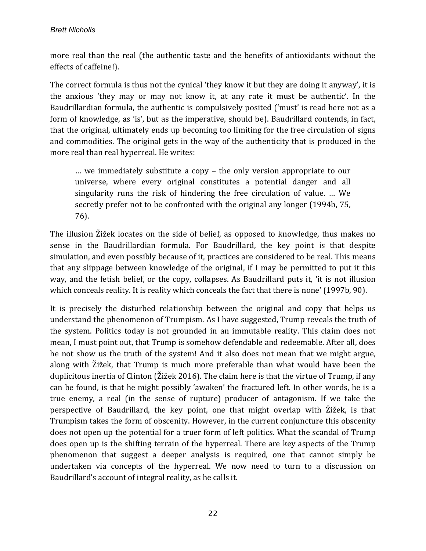more real than the real (the authentic taste and the benefits of antioxidants without the effects of caffeine!).

The correct formula is thus not the cynical 'they know it but they are doing it anyway', it is the anxious 'they may or may not know it, at any rate it must be authentic'. In the Baudrillardian formula, the authentic is compulsively posited ('must' is read here not as a form of knowledge, as 'is', but as the imperative, should be). Baudrillard contends, in fact, that the original, ultimately ends up becoming too limiting for the free circulation of signs and commodities. The original gets in the way of the authenticity that is produced in the more real than real hyperreal. He writes:

 $\dots$  we immediately substitute a copy – the only version appropriate to our universe, where every original constitutes a potential danger and all singularity runs the risk of hindering the free circulation of value. ... We secretly prefer not to be confronted with the original any longer (1994b, 75, 76).

The illusion Žižek locates on the side of belief, as opposed to knowledge, thus makes no sense in the Baudrillardian formula. For Baudrillard, the key point is that despite simulation, and even possibly because of it, practices are considered to be real. This means that any slippage between knowledge of the original, if I may be permitted to put it this way, and the fetish belief, or the copy, collapses. As Baudrillard puts it, 'it is not illusion which conceals reality. It is reality which conceals the fact that there is none' (1997b, 90).

It is precisely the disturbed relationship between the original and copy that helps us understand the phenomenon of Trumpism. As I have suggested, Trump reveals the truth of the system. Politics today is not grounded in an immutable reality. This claim does not mean, I must point out, that Trump is somehow defendable and redeemable. After all, does he not show us the truth of the system! And it also does not mean that we might argue, along with Žižek, that Trump is much more preferable than what would have been the duplicitous inertia of Clinton ( $\tilde{Z}$ ižek 2016). The claim here is that the virtue of Trump, if any can be found, is that he might possibly 'awaken' the fractured left. In other words, he is a true enemy, a real (in the sense of rupture) producer of antagonism. If we take the perspective of Baudrillard, the key point, one that might overlap with Žižek, is that Trumpism takes the form of obscenity. However, in the current conjuncture this obscenity does not open up the potential for a truer form of left politics. What the scandal of Trump does open up is the shifting terrain of the hyperreal. There are key aspects of the Trump phenomenon that suggest a deeper analysis is required, one that cannot simply be undertaken via concepts of the hyperreal. We now need to turn to a discussion on Baudrillard's account of integral reality, as he calls it.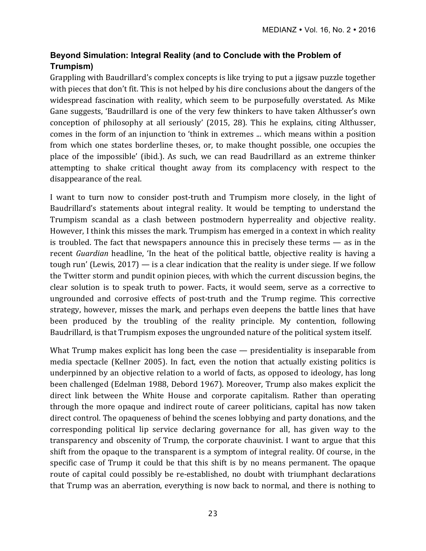# **Beyond Simulation: Integral Reality (and to Conclude with the Problem of Trumpism)**

Grappling with Baudrillard's complex concepts is like trying to put a jigsaw puzzle together with pieces that don't fit. This is not helped by his dire conclusions about the dangers of the widespread fascination with reality, which seem to be purposefully overstated. As Mike Gane suggests, 'Baudrillard is one of the very few thinkers to have taken Althusser's own conception of philosophy at all seriously' (2015, 28). This he explains, citing Althusser, comes in the form of an injunction to 'think in extremes ... which means within a position from which one states borderline theses, or, to make thought possible, one occupies the place of the impossible' (ibid.). As such, we can read Baudrillard as an extreme thinker attempting to shake critical thought away from its complacency with respect to the disappearance of the real.

I want to turn now to consider post-truth and Trumpism more closely, in the light of Baudrillard's statements about integral reality. It would be tempting to understand the Trumpism scandal as a clash between postmodern hyperreality and objective reality. However, I think this misses the mark. Trumpism has emerged in a context in which reality is troubled. The fact that newspapers announce this in precisely these terms  $-$  as in the recent *Guardian* headline, 'In the heat of the political battle, objective reality is having a tough run' (Lewis,  $2017$ ) — is a clear indication that the reality is under siege. If we follow the Twitter storm and pundit opinion pieces, with which the current discussion begins, the clear solution is to speak truth to power. Facts, it would seem, serve as a corrective to ungrounded and corrosive effects of post-truth and the Trump regime. This corrective strategy, however, misses the mark, and perhaps even deepens the battle lines that have been produced by the troubling of the reality principle. My contention, following Baudrillard, is that Trumpism exposes the ungrounded nature of the political system itself.

What Trump makes explicit has long been the case  $-$  presidentiality is inseparable from media spectacle (Kellner 2005). In fact, even the notion that actually existing politics is underpinned by an objective relation to a world of facts, as opposed to ideology, has long been challenged (Edelman 1988, Debord 1967). Moreover, Trump also makes explicit the direct link between the White House and corporate capitalism. Rather than operating through the more opaque and indirect route of career politicians, capital has now taken direct control. The opaqueness of behind the scenes lobbying and party donations, and the corresponding political lip service declaring governance for all, has given way to the transparency and obscenity of Trump, the corporate chauvinist. I want to argue that this shift from the opaque to the transparent is a symptom of integral reality. Of course, in the specific case of Trump it could be that this shift is by no means permanent. The opaque route of capital could possibly be re-established, no doubt with triumphant declarations that Trump was an aberration, everything is now back to normal, and there is nothing to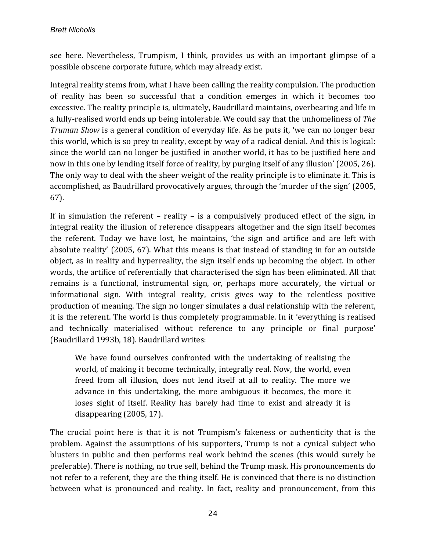see here. Nevertheless, Trumpism, I think, provides us with an important glimpse of a possible obscene corporate future, which may already exist.

Integral reality stems from, what I have been calling the reality compulsion. The production of reality has been so successful that a condition emerges in which it becomes too excessive. The reality principle is, ultimately, Baudrillard maintains, overbearing and life in a fully-realised world ends up being intolerable. We could say that the unhomeliness of *The Truman Show* is a general condition of everyday life. As he puts it, 'we can no longer bear this world, which is so prey to reality, except by way of a radical denial. And this is logical: since the world can no longer be justified in another world, it has to be justified here and now in this one by lending itself force of reality, by purging itself of any illusion' (2005, 26). The only way to deal with the sheer weight of the reality principle is to eliminate it. This is accomplished, as Baudrillard provocatively argues, through the 'murder of the sign' (2005, 67). 

If in simulation the referent – reality – is a compulsively produced effect of the sign, in integral reality the illusion of reference disappears altogether and the sign itself becomes the referent. Today we have lost, he maintains, 'the sign and artifice and are left with absolute reality' (2005, 67). What this means is that instead of standing in for an outside object, as in reality and hyperreality, the sign itself ends up becoming the object. In other words, the artifice of referentially that characterised the sign has been eliminated. All that remains is a functional, instrumental sign, or, perhaps more accurately, the virtual or informational sign. With integral reality, crisis gives way to the relentless positive production of meaning. The sign no longer simulates a dual relationship with the referent, it is the referent. The world is thus completely programmable. In it 'everything is realised and technically materialised without reference to any principle or final purpose' (Baudrillard 1993b, 18). Baudrillard writes:

We have found ourselves confronted with the undertaking of realising the world, of making it become technically, integrally real. Now, the world, even freed from all illusion, does not lend itself at all to reality. The more we advance in this undertaking, the more ambiguous it becomes, the more it loses sight of itself. Reality has barely had time to exist and already it is disappearing  $(2005, 17)$ .

The crucial point here is that it is not Trumpism's fakeness or authenticity that is the problem. Against the assumptions of his supporters, Trump is not a cynical subject who blusters in public and then performs real work behind the scenes (this would surely be preferable). There is nothing, no true self, behind the Trump mask. His pronouncements do not refer to a referent, they are the thing itself. He is convinced that there is no distinction between what is pronounced and reality. In fact, reality and pronouncement, from this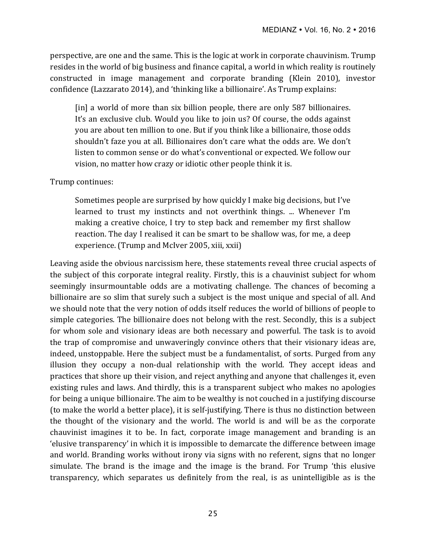perspective, are one and the same. This is the logic at work in corporate chauvinism. Trump resides in the world of big business and finance capital, a world in which reality is routinely constructed in image management and corporate branding (Klein 2010), investor confidence (Lazzarato 2014), and 'thinking like a billionaire'. As Trump explains:

[in] a world of more than six billion people, there are only 587 billionaires. It's an exclusive club. Would you like to join us? Of course, the odds against you are about ten million to one. But if you think like a billionaire, those odds shouldn't faze you at all. Billionaires don't care what the odds are. We don't listen to common sense or do what's conventional or expected. We follow our vision, no matter how crazy or idiotic other people think it is.

#### Trump continues:

Sometimes people are surprised by how quickly I make big decisions, but I've learned to trust my instincts and not overthink things. ... Whenever I'm making a creative choice, I try to step back and remember my first shallow reaction. The day I realised it can be smart to be shallow was, for me, a deep experience. (Trump and McIver 2005, xiii, xxii)

Leaving aside the obvious narcissism here, these statements reveal three crucial aspects of the subject of this corporate integral reality. Firstly, this is a chauvinist subject for whom seemingly insurmountable odds are a motivating challenge. The chances of becoming a billionaire are so slim that surely such a subject is the most unique and special of all. And we should note that the very notion of odds itself reduces the world of billions of people to simple categories. The billionaire does not belong with the rest. Secondly, this is a subject for whom sole and visionary ideas are both necessary and powerful. The task is to avoid the trap of compromise and unwaveringly convince others that their visionary ideas are, indeed, unstoppable. Here the subject must be a fundamentalist, of sorts. Purged from any illusion they occupy a non-dual relationship with the world. They accept ideas and practices that shore up their vision, and reject anything and anyone that challenges it, even existing rules and laws. And thirdly, this is a transparent subject who makes no apologies for being a unique billionaire. The aim to be wealthy is not couched in a justifying discourse (to make the world a better place), it is self-justifying. There is thus no distinction between the thought of the visionary and the world. The world is and will be as the corporate chauvinist imagines it to be. In fact, corporate image management and branding is an 'elusive transparency' in which it is impossible to demarcate the difference between image and world. Branding works without irony via signs with no referent, signs that no longer simulate. The brand is the image and the image is the brand. For Trump 'this elusive transparency, which separates us definitely from the real, is as unintelligible as is the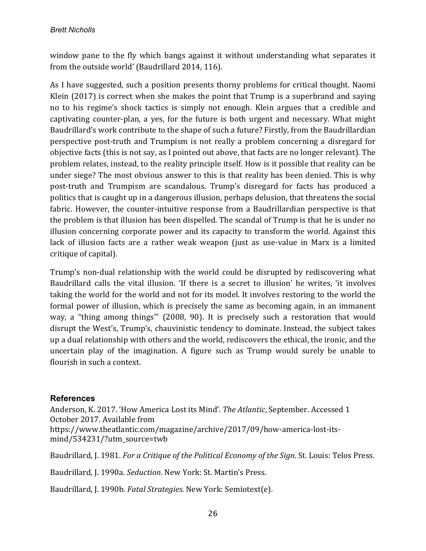window pane to the fly which bangs against it without understanding what separates it from the outside world' (Baudrillard 2014, 116).

As I have suggested, such a position presents thorny problems for critical thought. Naomi Klein  $(2017)$  is correct when she makes the point that Trump is a superbrand and saying no to his regime's shock tactics is simply not enough. Klein argues that a credible and captivating counter-plan, a yes, for the future is both urgent and necessary. What might Baudrillard's work contribute to the shape of such a future? Firstly, from the Baudrillardian perspective post-truth and Trumpism is not really a problem concerning a disregard for objective facts (this is not say, as I pointed out above, that facts are no longer relevant). The problem relates, instead, to the reality principle itself. How is it possible that reality can be under siege? The most obvious answer to this is that reality has been denied. This is why post-truth and Trumpism are scandalous. Trump's disregard for facts has produced a politics that is caught up in a dangerous illusion, perhaps delusion, that threatens the social fabric. However, the counter-intuitive response from a Baudrillardian perspective is that the problem is that illusion has been dispelled. The scandal of Trump is that he is under no illusion concerning corporate power and its capacity to transform the world. Against this lack of illusion facts are a rather weak weapon (just as use-value in Marx is a limited critique of capital).

Trump's non-dual relationship with the world could be disrupted by rediscovering what Baudrillard calls the vital illusion. 'If there is a secret to illusion' he writes, 'it involves taking the world for the world and not for its model. It involves restoring to the world the formal power of illusion, which is precisely the same as becoming again, in an immanent way, a "thing among things"' (2008, 90). It is precisely such a restoration that would disrupt the West's, Trump's, chauvinistic tendency to dominate. Instead, the subject takes up a dual relationship with others and the world, rediscovers the ethical, the ironic, and the uncertain play of the imagination. A figure such as Trump would surely be unable to flourish in such a context.

## **References**

Anderson, K. 2017. 'How America Lost its Mind'. The Atlantic, September. Accessed 1 October 2017. Available from https://www.theatlantic.com/magazine/archive/2017/09/how-america-lost-itsmind/534231/?utm\_source=twb

Baudrillard, J. 1981. *For a Critique of the Political Economy of the Sign*. St. Louis: Telos Press.

Baudrillard, J. 1990a. *Seduction*. New York: St. Martin's Press.

Baudrillard, J. 1990b. *Fatal Strategies*. New York: Semiotext(e).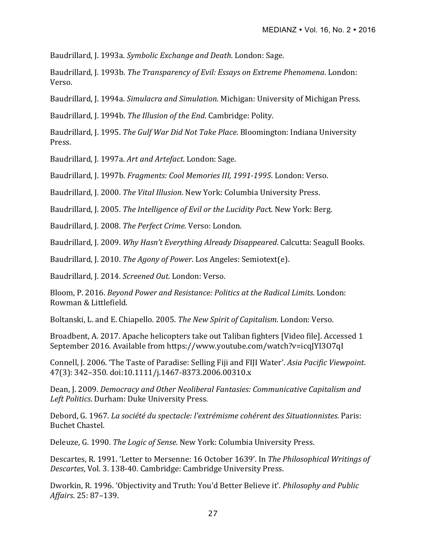Baudrillard, J. 1993a. *Symbolic Exchange and Death*. London: Sage.

Baudrillard, J. 1993b. *The Transparency of Evil: Essays on Extreme Phenomena*. London: Verso.

Baudrillard, J. 1994a. *Simulacra and Simulation*. Michigan: University of Michigan Press.

Baudrillard, J. 1994b. *The Illusion of the End*. Cambridge: Polity.

Baudrillard, J. 1995. *The Gulf War Did Not Take Place*. Bloomington: Indiana University Press.

Baudrillard, J. 1997a. Art and Artefact. London: Sage.

Baudrillard, J. 1997b. *Fragments: Cool Memories III, 1991-1995*. London: Verso.

Baudrillard, J. 2000. *The Vital Illusion*. New York: Columbia University Press.

Baudrillard, J. 2005. *The Intelligence of Evil or the Lucidity Pact*. New York: Berg.

Baudrillard, J. 2008. *The Perfect Crime*. Verso: London.

Baudrillard, J. 2009. *Why Hasn't Everything Already Disappeared*. Calcutta: Seagull Books.

Baudrillard, J. 2010. *The Agony of Power*. Los Angeles: Semiotext(e).

Baudrillard, J. 2014. *Screened Out*. London: Verso.

Bloom, P. 2016. *Beyond Power and Resistance: Politics at the Radical Limits*. London: Rowman & Littlefield.

Boltanski, L. and E. Chiapello. 2005. *The New Spirit of Capitalism*. London: Verso.

Broadbent, A. 2017. Apache helicopters take out Taliban fighters [Video file]. Accessed 1 September 2016. Available from https://www.youtube.com/watch?v=icqJYI3O7qI

Connell, J. 2006. 'The Taste of Paradise: Selling Fiji and FIJI Water'. Asia Pacific Viewpoint. 47(3): 342–350. doi:10.1111/j.1467-8373.2006.00310.x 

Dean, J. 2009. *Democracy and Other Neoliberal Fantasies: Communicative Capitalism and* Left Politics. Durham: Duke University Press.

Debord, G. 1967. *La société du spectacle: l'extrémisme cohérent des Situationnistes.* Paris: Buchet Chastel.

Deleuze, G. 1990. *The Logic of Sense*. New York: Columbia University Press.

Descartes, R. 1991. 'Letter to Mersenne: 16 October 1639'. In *The Philosophical Writings of* Descartes, Vol. 3. 138-40. Cambridge: Cambridge University Press.

Dworkin, R. 1996. 'Objectivity and Truth: You'd Better Believe it'. *Philosophy and Public Affairs*. 25: 87–139.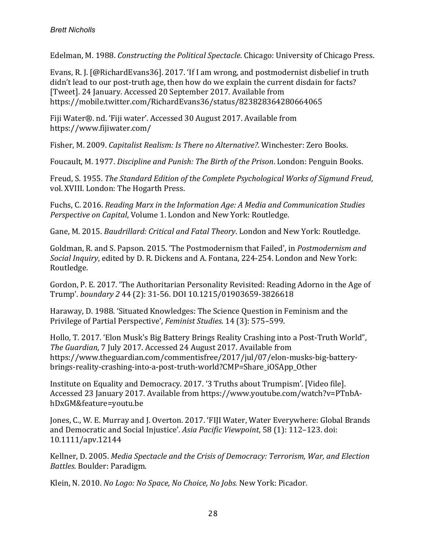Edelman, M. 1988. *Constructing the Political Spectacle*. Chicago: University of Chicago Press.

Evans, R. J. [@RichardEvans36]. 2017. 'If I am wrong, and postmodernist disbelief in truth didn't lead to our post-truth age, then how do we explain the current disdain for facts? [Tweet]. 24 January. Accessed 20 September 2017. Available from https://mobile.twitter.com/RichardEvans36/status/823828364280664065

Fiji Water®. nd. 'Fiji water'. Accessed 30 August 2017. Available from https://www.fijiwater.com/

Fisher, M. 2009. *Capitalist Realism: Is There no Alternative?*. Winchester: Zero Books.

Foucault, M. 1977. *Discipline and Punish: The Birth of the Prison*. London: Penguin Books.

Freud, S. 1955. *The Standard Edition of the Complete Psychological Works of Sigmund Freud*, vol. XVIII. London: The Hogarth Press.

Fuchs, C. 2016. *Reading Marx in the Information Age: A Media and Communication Studies Perspective on Capital,* Volume 1. London and New York: Routledge.

Gane, M. 2015. *Baudrillard: Critical and Fatal Theory*. London and New York: Routledge.

Goldman, R. and S. Papson. 2015. 'The Postmodernism that Failed', in *Postmodernism and Social Inquiry*, edited by D. R. Dickens and A. Fontana, 224-254. London and New York: Routledge.

Gordon, P. E. 2017. 'The Authoritarian Personality Revisited: Reading Adorno in the Age of Trump'. *boundary 2* 44 (2): 31-56. DOI 10.1215/01903659-3826618 

Haraway, D. 1988. 'Situated Knowledges: The Science Question in Feminism and the Privilege of Partial Perspective', *Feminist Studies*. 14 (3): 575–599.

Hollo, T. 2017. 'Elon Musk's Big Battery Brings Reality Crashing into a Post-Truth World", The Guardian, 7 July 2017. Accessed 24 August 2017. Available from https://www.theguardian.com/commentisfree/2017/jul/07/elon-musks-big-batterybrings-reality-crashing-into-a-post-truth-world?CMP=Share\_iOSApp\_Other

Institute on Equality and Democracy. 2017. '3 Truths about Trumpism'. [Video file]. Accessed 23 January 2017. Available from https://www.youtube.com/watch?v=PTnbAhDxGM&feature=youtu.be

Jones, C., W. E. Murray and J. Overton. 2017. 'FIJI Water, Water Everywhere: Global Brands and Democratic and Social Injustice'. Asia Pacific Viewpoint, 58 (1): 112–123. doi: 10.1111/apv.12144 

Kellner, D. 2005. *Media Spectacle and the Crisis of Democracy: Terrorism, War, and Election Battles*. Boulder: Paradigm.

Klein, N. 2010. *No Logo: No Space, No Choice, No Jobs.* New York: Picador.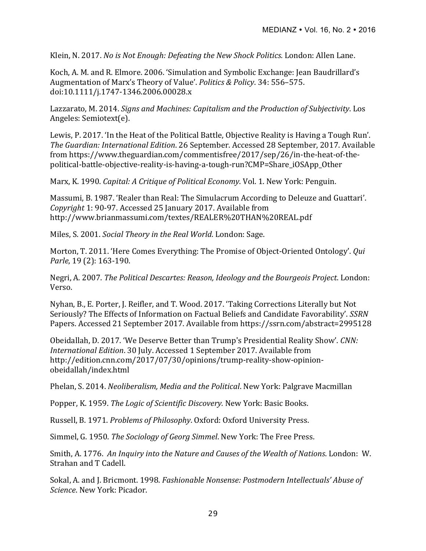Klein, N. 2017. *No is Not Enough: Defeating the New Shock Politics.* London: Allen Lane.

Koch, A. M. and R. Elmore. 2006. 'Simulation and Symbolic Exchange: Jean Baudrillard's Augmentation of Marx's Theory of Value'. *Politics & Policy*. 34: 556-575. doi:10.1111/j.1747-1346.2006.00028.x

Lazzarato, M. 2014. *Signs and Machines: Capitalism and the Production of Subjectivity*. Los Angeles: Semiotext(e).

Lewis, P. 2017. 'In the Heat of the Political Battle, Objective Reality is Having a Tough Run'. *The Guardian: International Edition*. 26 September. Accessed 28 September, 2017. Available from https://www.theguardian.com/commentisfree/2017/sep/26/in-the-heat-of-thepolitical-battle-objective-reality-is-having-a-tough-run?CMP=Share\_iOSApp\_Other

Marx, K. 1990. *Capital: A Critique of Political Economy*. Vol. 1. New York: Penguin.

Massumi, B. 1987. 'Realer than Real: The Simulacrum According to Deleuze and Guattari'. *Copyright* 1: 90-97. Accessed 25 January 2017. Available from http://www.brianmassumi.com/textes/REALER%20THAN%20REAL.pdf

Miles, S. 2001. *Social Theory in the Real World*. London: Sage.

Morton, T. 2011. 'Here Comes Everything: The Promise of Object-Oriented Ontology'. *Qui Parle*, 19 (2): 163-190.

Negri, A. 2007. *The Political Descartes: Reason, Ideology and the Bourgeois Project.* London: Verso.

Nyhan, B., E. Porter, J. Reifler, and T. Wood. 2017. 'Taking Corrections Literally but Not Seriously? The Effects of Information on Factual Beliefs and Candidate Favorability'. *SSRN* Papers. Accessed 21 September 2017. Available from https://ssrn.com/abstract=2995128

Obeidallah, D. 2017. 'We Deserve Better than Trump's Presidential Reality Show'. CNN: *International Edition.* 30 July. Accessed 1 September 2017. Available from http://edition.cnn.com/2017/07/30/opinions/trump-reality-show-opinionobeidallah/index.html

Phelan, S. 2014. *Neoliberalism, Media and the Political*. New York: Palgrave Macmillan

Popper, K. 1959. *The Logic of Scientific Discovery.* New York: Basic Books.

Russell, B. 1971. *Problems of Philosophy*. Oxford: Oxford University Press.

Simmel, G. 1950. *The Sociology of Georg Simmel*. New York: The Free Press.

Smith, A. 1776. An Inquiry into the Nature and Causes of the Wealth of Nations. London: W. Strahan and T Cadell.

Sokal, A. and J. Bricmont. 1998. *Fashionable Nonsense: Postmodern Intellectuals' Abuse of Science*. New York: Picador.